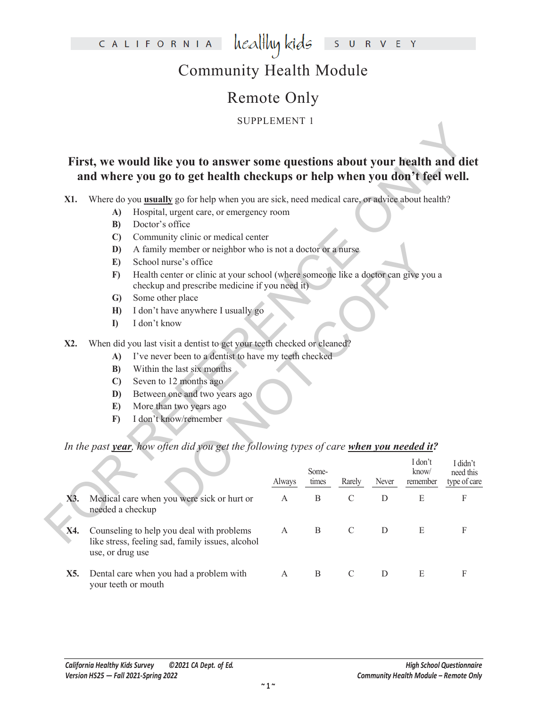healthy kids CALIFORNIA  $\mathsf S$ **U** R V E Y

# Community Health Module

# Remote Only

SUPPLEMENT 1

### **First, we would like you to answer some questions about your health and diet and where you go to get health checkups or help when you don't feel well.**

- **A)** Hospital, urgent care, or emergency room
- **B)** Doctor's office
- **C)** Community clinic or medical center
- **D)** A family member or neighbor who is not a doctor or a nurse
- **E)** School nurse's office
- **F)** Health center or clinic at your school (where someone like a doctor can give you a checkup and prescribe medicine if you need it)
- **G)** Some other place
- **H)** I don't have anywhere I usually go
- **I)** I don't know
- **X2.** When did you last visit a dentist to get your teeth checked or cleaned?
	- **A)** I've never been to a dentist to have my teeth checked
	- **B)** Within the last six months
	- **C)** Seven to 12 months ago
	- **D)** Between one and two years ago
	- **E)** More than two years ago
	- **F)** I don't know/remember

### *In the past year, how often did you get the following types of care when you needed it?*

|     |                  |                                                                                                                                      | OI I LENILIVI I |              |               |       |           |                           |
|-----|------------------|--------------------------------------------------------------------------------------------------------------------------------------|-----------------|--------------|---------------|-------|-----------|---------------------------|
|     |                  | First, we would like you to answer some questions about your health and diet                                                         |                 |              |               |       |           |                           |
|     |                  | and where you go to get health checkups or help when you don't feel well.                                                            |                 |              |               |       |           |                           |
| X1. |                  | Where do you <b>usually</b> go for help when you are sick, need medical care, or advice about health?                                |                 |              |               |       |           |                           |
|     | A)               | Hospital, urgent care, or emergency room                                                                                             |                 |              |               |       |           |                           |
|     | B)               | Doctor's office                                                                                                                      |                 |              |               |       |           |                           |
|     | $\mathbf{C}$     | Community clinic or medical center                                                                                                   |                 |              |               |       |           |                           |
|     | D)               | A family member or neighbor who is not a doctor or a nurse                                                                           |                 |              |               |       |           |                           |
|     | E)               | School nurse's office                                                                                                                |                 |              |               |       |           |                           |
|     | F)               | Health center or clinic at your school (where someone like a doctor can give you a<br>checkup and prescribe medicine if you need it) |                 |              |               |       |           |                           |
|     | $\mathbf{G}$     | Some other place                                                                                                                     |                 |              |               |       |           |                           |
|     | H                | I don't have anywhere I usually go                                                                                                   |                 |              |               |       |           |                           |
|     | $\mathbf{I}$     | I don't know                                                                                                                         |                 |              |               |       |           |                           |
| X2. |                  | When did you last visit a dentist to get your teeth checked or cleaned?                                                              |                 |              |               |       |           |                           |
|     | A)               | I've never been to a dentist to have my teeth checked                                                                                |                 |              |               |       |           |                           |
|     | B)               | Within the last six months                                                                                                           |                 |              |               |       |           |                           |
|     | $\mathbf{C}$     | Seven to 12 months ago                                                                                                               |                 |              |               |       |           |                           |
|     | D)               | Between one and two years ago                                                                                                        |                 |              |               |       |           |                           |
|     | E)               | More than two years ago                                                                                                              |                 |              |               |       |           |                           |
|     | F)               | I don't know/remember                                                                                                                |                 |              |               |       |           |                           |
|     |                  | In the past year, how often did you get the following types of care when you needed it?                                              |                 |              |               |       |           |                           |
|     |                  |                                                                                                                                      |                 |              |               |       | I don't   |                           |
|     |                  |                                                                                                                                      |                 | Some-        |               |       | know/     | I didn't<br>need this     |
|     |                  |                                                                                                                                      | Always          | times        | Rarely        | Never | remember  | type of care              |
| X3. | needed a checkup | Medical care when you were sick or hurt or                                                                                           | $\mathbf{A}$    | $\mathbf B$  | $\mathcal{C}$ | D     | ${\bf E}$ | F                         |
| X4. | use, or drug use | Counseling to help you deal with problems<br>like stress, feeling sad, family issues, alcohol                                        | A               | $\, {\bf B}$ | $\mathcal{C}$ | D     | ${\bf E}$ | $\boldsymbol{\mathrm{F}}$ |
| X5. |                  | Dental care when you had a problem with<br>your teeth or mouth                                                                       | A               | B            | $\mathsf{C}$  | D     | E         | F                         |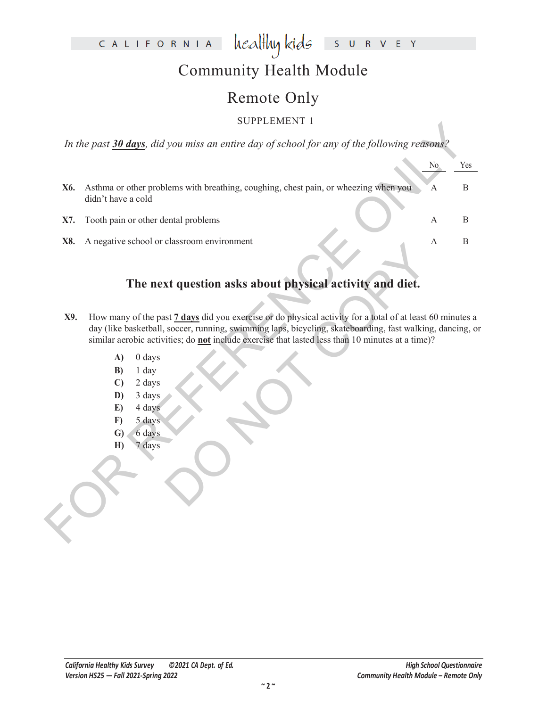### CALIFORNIA healthy kids S U R V E Y

# Community Health Module

# Remote Only

### SUPPLEMENT 1

|                                                                                                                                                                | N <sub>o</sub>                                              | Yes                                                                                                                                                                                                                                                                                                                                                                                                                                                                                                                                                                          |
|----------------------------------------------------------------------------------------------------------------------------------------------------------------|-------------------------------------------------------------|------------------------------------------------------------------------------------------------------------------------------------------------------------------------------------------------------------------------------------------------------------------------------------------------------------------------------------------------------------------------------------------------------------------------------------------------------------------------------------------------------------------------------------------------------------------------------|
| X6.<br>didn't have a cold                                                                                                                                      | А                                                           | $\boldsymbol{B}$                                                                                                                                                                                                                                                                                                                                                                                                                                                                                                                                                             |
| Tooth pain or other dental problems<br>X7.                                                                                                                     | А                                                           | B                                                                                                                                                                                                                                                                                                                                                                                                                                                                                                                                                                            |
| X8.                                                                                                                                                            | A                                                           | $\, {\bf B}$                                                                                                                                                                                                                                                                                                                                                                                                                                                                                                                                                                 |
|                                                                                                                                                                |                                                             |                                                                                                                                                                                                                                                                                                                                                                                                                                                                                                                                                                              |
| X9.<br>A)<br>$0$ days<br>1 day<br>B)<br>2 days<br>$\mathbf{C}$<br>3 days<br>D)<br>4 days<br>E)<br>5 days<br>$\bf{F}$<br>6 days<br>$\mathbf{G}$<br>7 days<br>H) |                                                             |                                                                                                                                                                                                                                                                                                                                                                                                                                                                                                                                                                              |
|                                                                                                                                                                | POLI LEMENI I<br>A negative school or classroom environment | In the past 30 days, did you miss an entire day of school for any of the following reasons?<br>Asthma or other problems with breathing, coughing, chest pain, or wheezing when you<br>The next question asks about physical activity and diet.<br>How many of the past 7 days did you exercise or do physical activity for a total of at least 60 minutes a<br>day (like basketball, soccer, running, swimming laps, bicycling, skateboarding, fast walking, dancing, or<br>similar aerobic activities; do not include exercise that lasted less than 10 minutes at a time)? |

### **The next question asks about physical activity and diet.**

- Example of the state of dophysical activity and diet.<br>
State of dophysical activity for a total of at least 60<br>
soccer, running, swimming laps, bicycling, skateboarding, fast walking,<br>
stities; do <u>not</u> include exercise th **X9.** How many of the past **7 days** did you exercise or do physical activity for a total of at least 60 minutes a day (like basketball, soccer, running, swimming laps, bicycling, skateboarding, fast walking, dancing, or similar aerobic activities; do **not** include exercise that lasted less than 10 minutes at a time)?
	- **A)** 0 days
	- **B)** 1 day
	- **C)** 2 days
	- **D)** 3 days
	- **E)** 4 days
	- **F)** 5 days
	- **G)** 6 days
	- **H)** 7 days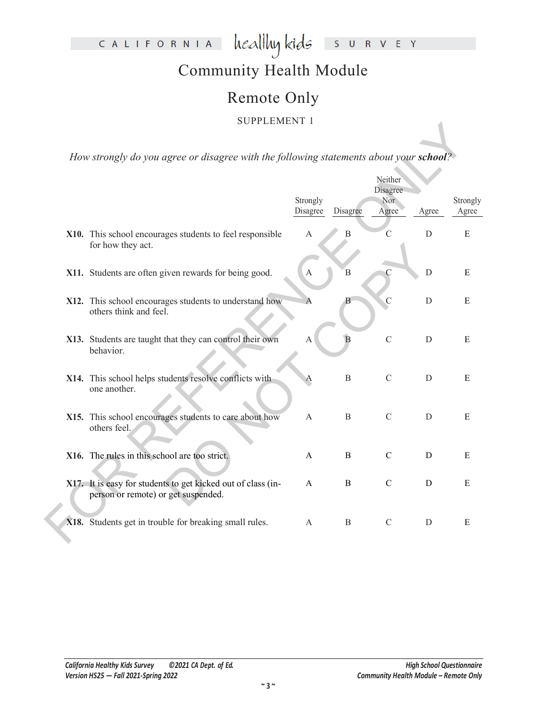# CALIFORNIA healthykids SURVEY

# Community Health Module

### Remote Only

### SUPPLEMENT 1

| <b>DOIT LEMENT I</b>                                                                                |                       |                |                     |             |                   |
|-----------------------------------------------------------------------------------------------------|-----------------------|----------------|---------------------|-------------|-------------------|
|                                                                                                     |                       |                |                     |             |                   |
| How strongly do you agree or disagree with the following statements about your school?              |                       |                |                     |             |                   |
|                                                                                                     |                       |                | Neither<br>Disagree |             |                   |
|                                                                                                     | Strongly<br>Disagree  | Disagree       | Nor<br>Agree        | Agree       | Strongly<br>Agree |
| X10. This school encourages students to feel responsible<br>for how they act.                       | A                     | Β              | $\mathcal{C}$       | $\mathbf D$ | ${\bf E}$         |
| X11. Students are often given rewards for being good.                                               | $\boldsymbol{\rm{A}}$ | B              | $\mathcal{C}$       | $\mathbf D$ | E                 |
| X12. This school encourages students to understand how<br>others think and feel.                    |                       |                | $\mathcal{C}$       | D           | E                 |
| X13. Students are taught that they can control their own<br>behavior.                               | $\mathbf{A}$          | $\overline{B}$ | $\overline{C}$      | $\mathbf D$ | ${\bf E}$         |
| X14. This school helps students resolve conflicts with<br>one another.                              | Α                     | $\, {\bf B}$   | $\mathcal{C}$       | D           | ${\bf E}$         |
| X15. This school encourages students to care about how<br>others feel.                              | A                     | $\, {\bf B}$   | $\mathcal{C}$       | $\mathbf D$ | E                 |
| X16. The rules in this school are too strict.                                                       | A                     | B              | $\mathbf C$         | D           | E                 |
| X17. It is easy for students to get kicked out of class (in-<br>person or remote) or get suspended. | A                     | B              | $\mathcal{C}$       | D           | E                 |
| X18. Students get in trouble for breaking small rules.                                              | A                     | B              | $\mathcal{C}$       | D           | E                 |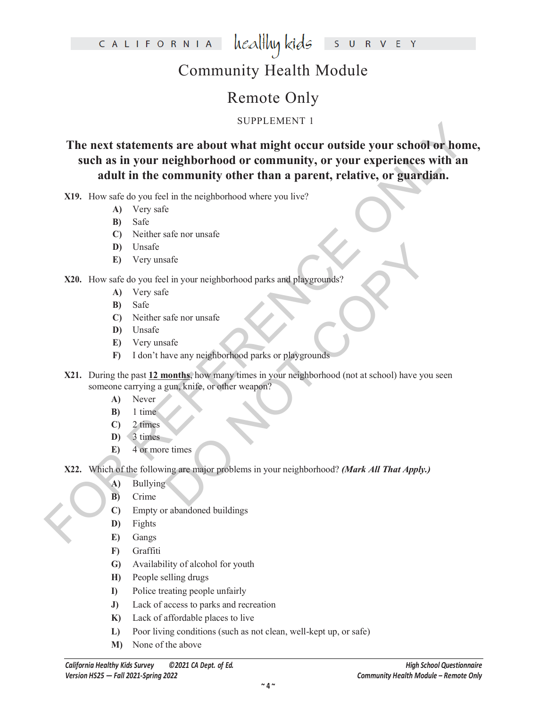CALIFORNIA healthy kids R V E Y  $S$  U

# Community Health Module

# Remote Only

### SUPPLEMENT 1

The next statements are about what might occur outside your school or home,<br>such as in your neighborhood or community, or your experiences with an<br>adult in the community other than a parent, relative, or guardian.<br>
X19. H **The next statements are about what might occur outside your school or home, such as in your neighborhood or community, or your experiences with an adult in the community other than a parent, relative, or guardian.**

**X19.** How safe do you feel in the neighborhood where you live?

- **A)** Very safe
- **B)** Safe
- **C)** Neither safe nor unsafe
- **D)** Unsafe
- **E)** Very unsafe

### **X20.** How safe do you feel in your neighborhood parks and playgrounds?

- **A)** Very safe
- **B)** Safe
- **C)** Neither safe nor unsafe
- **D)** Unsafe
- **E)** Very unsafe
- **F)** I don't have any neighborhood parks or playgrounds
- Safe<br>
El in your neighborhood parks and playgrounds?<br>
Safe nor unsafe<br>
Safe ave any neighborhood parks or playgrounds<br> **nonths**, how many times in your neighborhood (not at school) have you s<br>
gum, knife, or other weapon?<br> **X21.** During the past **12 months**, how many times in your neighborhood (not at school) have you seen someone carrying a gun, knife, or other weapon?
	- **A)** Never
	- **B)** 1 time
	- **C)** 2 times
	- $\overline{D}$ ) 3 times
	- **E)** 4 or more times

**X22.** Which of the following are major problems in your neighborhood? *(Mark All That Apply.)*

- **A)** Bullying
- **B)** Crime
- **C)** Empty or abandoned buildings
- **D)** Fights
- **E)** Gangs
- **F)** Graffiti
- **G)** Availability of alcohol for youth
- **H)** People selling drugs
- **I)** Police treating people unfairly
- **J)** Lack of access to parks and recreation
- **K)** Lack of affordable places to live
- **L)** Poor living conditions (such as not clean, well-kept up, or safe)
- **M)** None of the above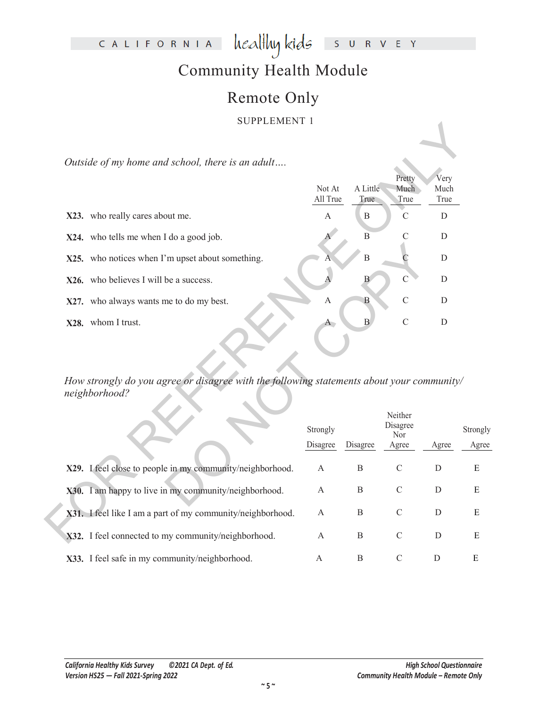### CALIFORNIA healthy kids S U R V E Y

# Community Health Module

# Remote Only

### SUPPLEMENT 1

| Not At   |                                                                                                                                                          | Pretty<br>Much                                       | Very<br>Much                                        |                                                                                                              |
|----------|----------------------------------------------------------------------------------------------------------------------------------------------------------|------------------------------------------------------|-----------------------------------------------------|--------------------------------------------------------------------------------------------------------------|
|          | True                                                                                                                                                     | True                                                 | True                                                |                                                                                                              |
|          |                                                                                                                                                          |                                                      |                                                     |                                                                                                              |
|          | $\overline{B}$                                                                                                                                           | C                                                    | D                                                   |                                                                                                              |
|          | $\overline{B}$                                                                                                                                           | $\mathcal{C}$                                        | D                                                   |                                                                                                              |
|          | В                                                                                                                                                        | $\mathsf{C}$                                         | D                                                   |                                                                                                              |
| A        | B                                                                                                                                                        | $\mathcal{C}$                                        | D                                                   |                                                                                                              |
|          | $\, {\bf B}$                                                                                                                                             | $\mathcal{C}$                                        | $\mathbf D$                                         |                                                                                                              |
| Strongly |                                                                                                                                                          | Neither<br>Disagree<br>Nor                           |                                                     | Stron<br>Ag                                                                                                  |
|          |                                                                                                                                                          |                                                      |                                                     |                                                                                                              |
|          |                                                                                                                                                          |                                                      |                                                     | $\mathbf E$                                                                                                  |
| A        | $\mathbf B$                                                                                                                                              | $\mathcal{C}$                                        | D                                                   | E                                                                                                            |
| A        | $\mathbf B$                                                                                                                                              | $\mathcal{C}$                                        | D                                                   | E                                                                                                            |
| A        | $\bf{B}$                                                                                                                                                 | $\mathcal{C}$                                        | $\mathbf D$                                         | E                                                                                                            |
|          | $\mathbf{A}$<br>Disagree<br>X29. I feel close to people in my community/neighborhood.<br>A<br>X31. I feel like I am a part of my community/neighborhood. | All True<br>$\mathbf{B}$<br>Disagree<br>$\, {\bf B}$ | A Little<br>$\mathcal{C}$<br>Agree<br>$\mathcal{C}$ | D<br>How strongly do you agree or disagree with the following statements about your community/<br>Agree<br>D |

|                                                            | Strongly |          | Neither<br>Disagree<br>Nor |       | Strongly |
|------------------------------------------------------------|----------|----------|----------------------------|-------|----------|
|                                                            | Disagree | Disagree | Agree                      | Agree | Agree    |
| X29. I feel close to people in my community/neighborhood.  | A        | B        | C                          | D     | Ε        |
| X30. I am happy to live in my community/neighborhood.      | A        | B        | C                          | D     | Ε        |
| X31. I feel like I am a part of my community/neighborhood. | A        | B        | C                          | D     | Ε        |
| X32. I feel connected to my community/neighborhood.        | A        | B        | C                          | D     | Ε        |
| X33. I feel safe in my community/neighborhood.             | А        | B        | C                          |       | Е        |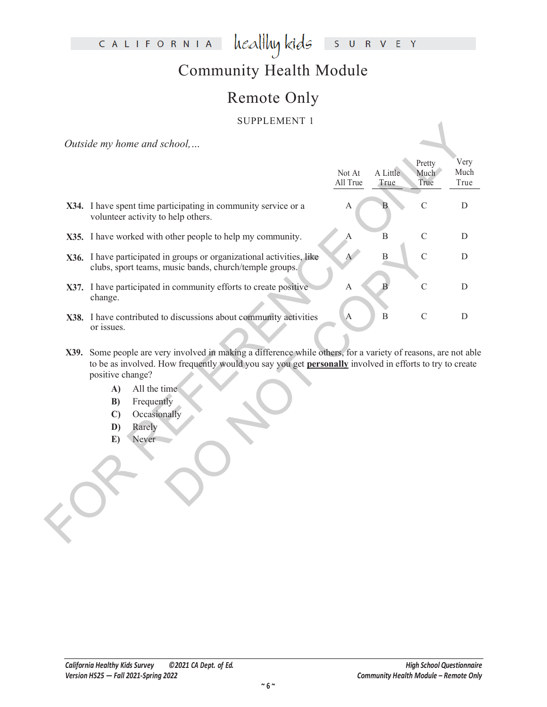### CALIFORNIA  $\text{head}$  kids S U R V E Y

# Community Health Module

# Remote Only

### SUPPLEMENT 1

| Not At<br>All True | A Little<br>True | Pretty<br>Much | Very                                                                                                                                                                                                                      |
|--------------------|------------------|----------------|---------------------------------------------------------------------------------------------------------------------------------------------------------------------------------------------------------------------------|
|                    |                  |                |                                                                                                                                                                                                                           |
|                    |                  | True           | Much<br>True                                                                                                                                                                                                              |
| А                  |                  | $\overline{C}$ | ${\bf D}$                                                                                                                                                                                                                 |
| А                  | $\, {\bf B}$     | $\mathcal{C}$  | D                                                                                                                                                                                                                         |
| $\mathbf{A}$       | $\boldsymbol{B}$ | $\overline{C}$ | D                                                                                                                                                                                                                         |
| $\mathbf{A}$       |                  | $\mathcal{C}$  | D                                                                                                                                                                                                                         |
| $\mathbf{A}$       | $\, {\bf B}$     | $\mathcal{C}$  | $\mathbf D$                                                                                                                                                                                                               |
|                    |                  |                |                                                                                                                                                                                                                           |
|                    |                  |                | X39. Some people are very involved in making a difference while others, for a variety of reasons, are not able<br>to be as involved. How frequently would you say you get personally involved in efforts to try to create |

- **X39.** Some people are very involved in making a difference while others, for a variety of reasons, are not able to be as involved. How frequently would you say you get **personally** involved in efforts to try to create positive change?
	- **A)** All the time
	- **B)** Frequently
	- **C)** Occasionally
	- **D)** Rarely
	- **E)** Never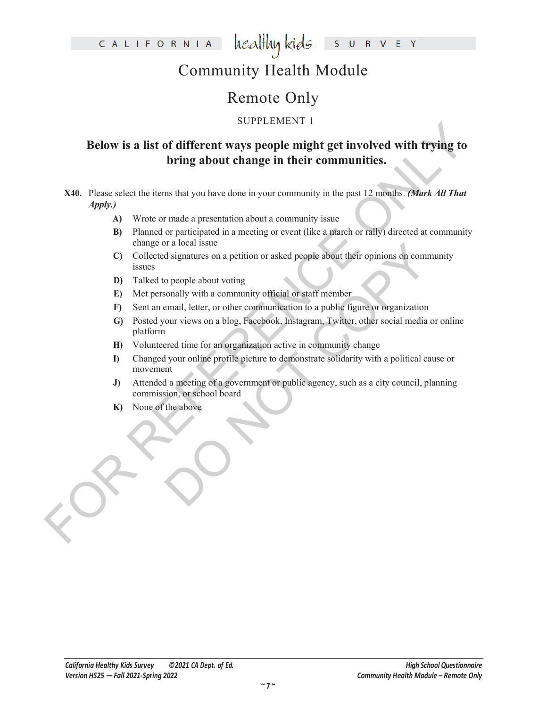healthy kids CALIFORNIA  $\mathsf{S}$ **U** R V E Y

# Community Health Module

# Remote Only

### SUPPLEMENT 1

# **Example in a control of the control of the control of the control of the control of the control of the control of the control of the control of the control of the control of the control of the control of the control of t Below is a list of different ways people might get involved with trying to bring about change in their communities.**

**X40.** Please select the items that you have done in your community in the past 12 months. *(Mark All That Apply.)*

- **A)** Wrote or made a presentation about a community issue
- **B)** Planned or participated in a meeting or event (like a march or rally) directed at community change or a local issue
- **C)** Collected signatures on a petition or asked people about their opinions on community issues
- **D)** Talked to people about voting
- **E)** Met personally with a community official or staff member
- **F)** Sent an email, letter, or other communication to a public figure or organization
- The state of the state of the state of the state of the state of signatures on a petition or asked people about their opinions on community of standard control of the star member and letter, or other communitation to a pub **G)** Posted your views on a blog, Facebook, Instagram, Twitter, other social media or online platform
- **H)** Volunteered time for an organization active in community change
- **I)** Changed your online profile picture to demonstrate solidarity with a political cause or movement
- **J)** Attended a meeting of a government or public agency, such as a city council, planning commission, or school board
- **K)** None of the above